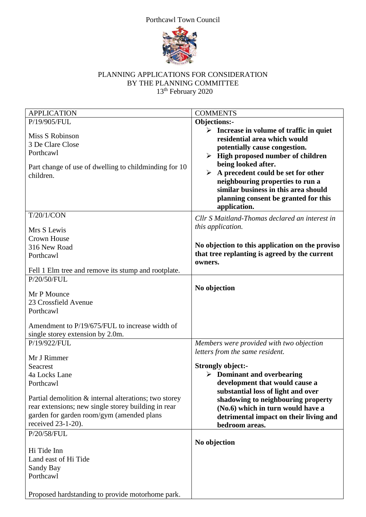## Porthcawl Town Council



## PLANNING APPLICATIONS FOR CONSIDERATION BY THE PLANNING COMMITTEE 13<sup>th</sup> February 2020

| <b>APPLICATION</b>                                                                                                                                                              | <b>COMMENTS</b>                                                                                                                                                                                                                                                                                                                                                                                 |
|---------------------------------------------------------------------------------------------------------------------------------------------------------------------------------|-------------------------------------------------------------------------------------------------------------------------------------------------------------------------------------------------------------------------------------------------------------------------------------------------------------------------------------------------------------------------------------------------|
| P/19/905/FUL                                                                                                                                                                    | Objections:-                                                                                                                                                                                                                                                                                                                                                                                    |
| Miss S Robinson<br>3 De Clare Close<br>Porthcawl<br>Part change of use of dwelling to childminding for 10<br>children.                                                          | $\triangleright$ Increase in volume of traffic in quiet<br>residential area which would<br>potentially cause congestion.<br>$\triangleright$ High proposed number of children<br>being looked after.<br>$\triangleright$ A precedent could be set for other<br>neighbouring properties to run a<br>similar business in this area should<br>planning consent be granted for this<br>application. |
| T/20/1/CON                                                                                                                                                                      | Cllr S Maitland-Thomas declared an interest in                                                                                                                                                                                                                                                                                                                                                  |
| Mrs S Lewis                                                                                                                                                                     | this application.                                                                                                                                                                                                                                                                                                                                                                               |
| <b>Crown House</b>                                                                                                                                                              |                                                                                                                                                                                                                                                                                                                                                                                                 |
| 316 New Road                                                                                                                                                                    | No objection to this application on the proviso                                                                                                                                                                                                                                                                                                                                                 |
| Porthcawl                                                                                                                                                                       | that tree replanting is agreed by the current                                                                                                                                                                                                                                                                                                                                                   |
|                                                                                                                                                                                 | owners.                                                                                                                                                                                                                                                                                                                                                                                         |
| Fell 1 Elm tree and remove its stump and rootplate.                                                                                                                             |                                                                                                                                                                                                                                                                                                                                                                                                 |
| P/20/50/FUL                                                                                                                                                                     |                                                                                                                                                                                                                                                                                                                                                                                                 |
| Mr P Mounce<br>23 Crossfield Avenue<br>Porthcawl<br>Amendment to P/19/675/FUL to increase width of                                                                              | No objection                                                                                                                                                                                                                                                                                                                                                                                    |
| single storey extension by 2.0m.                                                                                                                                                |                                                                                                                                                                                                                                                                                                                                                                                                 |
| P/19/922/FUL<br>Mr J Rimmer                                                                                                                                                     | Members were provided with two objection<br>letters from the same resident.                                                                                                                                                                                                                                                                                                                     |
| Seacrest                                                                                                                                                                        | <b>Strongly object:-</b>                                                                                                                                                                                                                                                                                                                                                                        |
| 4a Locks Lane                                                                                                                                                                   | $\triangleright$ Dominant and overbearing                                                                                                                                                                                                                                                                                                                                                       |
| Porthcawl                                                                                                                                                                       | development that would cause a                                                                                                                                                                                                                                                                                                                                                                  |
| Partial demolition & internal alterations; two storey<br>rear extensions; new single storey building in rear<br>garden for garden room/gym (amended plans<br>received 23-1-20). | substantial loss of light and over<br>shadowing to neighbouring property<br>(No.6) which in turn would have a<br>detrimental impact on their living and<br>bedroom areas.                                                                                                                                                                                                                       |
| P/20/58/FUL                                                                                                                                                                     |                                                                                                                                                                                                                                                                                                                                                                                                 |
| Hi Tide Inn<br>Land east of Hi Tide<br>Sandy Bay<br>Porthcawl                                                                                                                   | No objection                                                                                                                                                                                                                                                                                                                                                                                    |
| Proposed hardstanding to provide motorhome park.                                                                                                                                |                                                                                                                                                                                                                                                                                                                                                                                                 |